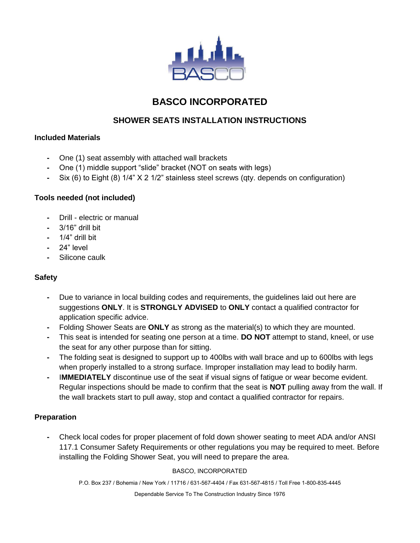

# **BASCO INCORPORATED**

# **SHOWER SEATS INSTALLATION INSTRUCTIONS**

## **Included Materials**

- **-** One (1) seat assembly with attached wall brackets
- **-** One (1) middle support "slide" bracket (NOT on seats with legs)
- **-** Six (6) to Eight (8) 1/4" X 2 1/2" stainless steel screws (qty. depends on configuration)

## **Tools needed (not included)**

- **-** Drill electric or manual
- **-** 3/16" drill bit
- **-** 1/4" drill bit
- **-** 24" level
- **-** Silicone caulk

# **Safety**

- **-** Due to variance in local building codes and requirements, the guidelines laid out here are suggestions **ONLY**. It is **STRONGLY ADVISED** to **ONLY** contact a qualified contractor for application specific advice.
- **-** Folding Shower Seats are **ONLY** as strong as the material(s) to which they are mounted.
- **-** This seat is intended for seating one person at a time. **DO NOT** attempt to stand, kneel, or use the seat for any other purpose than for sitting.
- **-** The folding seat is designed to support up to 400lbs with wall brace and up to 600lbs with legs when properly installed to a strong surface. Improper installation may lead to bodily harm.
- **-** I**MMEDIATELY** discontinue use of the seat if visual signs of fatigue or wear become evident. Regular inspections should be made to confirm that the seat is **NOT** pulling away from the wall. If the wall brackets start to pull away, stop and contact a qualified contractor for repairs.

#### **Preparation**

**-** Check local codes for proper placement of fold down shower seating to meet ADA and/or ANSI 117.1 Consumer Safety Requirements or other regulations you may be required to meet. Before installing the Folding Shower Seat, you will need to prepare the area.

#### BASCO, INCORPORATED

P.O. Box 237 / Bohemia / New York / 11716 / 631-567-4404 / Fax 631-567-4815 / Toll Free 1-800-835-4445

Dependable Service To The Construction Industry Since 1976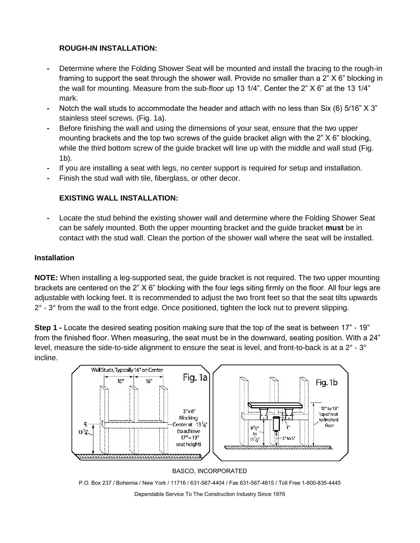## **ROUGH-IN INSTALLATION:**

- **-** Determine where the Folding Shower Seat will be mounted and install the bracing to the rough-in framing to support the seat through the shower wall. Provide no smaller than a 2" X 6" blocking in the wall for mounting. Measure from the sub-floor up 13 1/4". Center the 2" X 6" at the 13 1/4" mark.
- **-** Notch the wall studs to accommodate the header and attach with no less than Six (6) 5/16" X 3" stainless steel screws. (Fig. 1a).
- **-** Before finishing the wall and using the dimensions of your seat, ensure that the two upper mounting brackets and the top two screws of the guide bracket align with the 2" X 6" blocking, while the third bottom screw of the guide bracket will line up with the middle and wall stud (Fig. 1b).
- **-** If you are installing a seat with legs, no center support is required for setup and installation.
- **-** Finish the stud wall with tile, fiberglass, or other decor.

# **EXISTING WALL INSTALLATION:**

**-** Locate the stud behind the existing shower wall and determine where the Folding Shower Seat can be safely mounted. Both the upper mounting bracket and the guide bracket **must** be in contact with the stud wall. Clean the portion of the shower wall where the seat will be installed.

## **Installation**

**NOTE:** When installing a leg-supported seat, the guide bracket is not required. The two upper mounting brackets are centered on the 2" X 6" blocking with the four legs siting firmly on the floor. All four legs are adjustable with locking feet. It is recommended to adjust the two front feet so that the seat tilts upwards  $2^\circ$  -  $3^\circ$  from the wall to the front edge. Once positioned, tighten the lock nut to prevent slipping.

**Step 1 -** Locate the desired seating position making sure that the top of the seat is between 17" - 19" from the finished floor. When measuring, the seat must be in the downward, seating position. With a 24" level, measure the side-to-side alignment to ensure the seat is level, and front-to-back is at a  $2^{\circ}$  -  $3^{\circ}$ incline.



#### BASCO, INCORPORATED

P.O. Box 237 / Bohemia / New York / 11716 / 631-567-4404 / Fax 631-567-4815 / Toll Free 1-800-835-4445

Dependable Service To The Construction Industry Since 1976